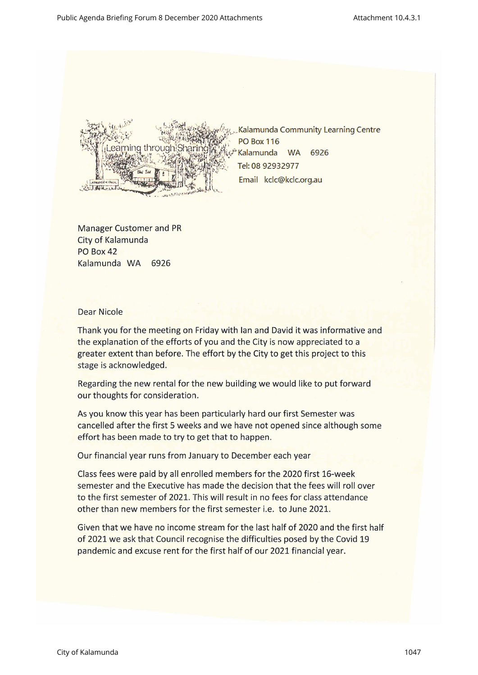

Kalamunda Community Learning Centre Email kclc@kclc.org.au

Manager Customer and PR City of Kalamunda PO Box 42 Kalamunda WA <sup>6926</sup>

## Dear Nicole

Thank you for the meeting on Friday with lan and David it was informative and the explanation of the efforts of you and the City is now appreciated to <sup>a</sup> greater extent than before. The effort by the City to get this project to this stage is acknowledged.

Regarding the new rental for the new building we would like to put forward our thoughts for consideration.

As you know this year has been particularly hard our first Semester was cancelled after the first <sup>5</sup> weeks and we have not opened since although some effort has been made to try to get that to happen.

Our financial year runs from January to December each year

Class fees were paid by all enrolled members for the 2020 first 16-week semester and the Executive has made the decision that the fees will roll over to the first semester of 2021. This will result in no fees for class attendance other than new members for the first semester i.e. to June 2021.

no income stre<br>Council recogn<br>e rent for the f<br>The strain of the form of the form of the form of the form of the form of the strain of the strain of the strain of the strain of the strain of the strain of the strain of the Given that we have no income stream for the last half of 2020 and the first half of 2021 we ask that Council recognise the difficulties posed by the Covid 19 pandemic and excuse rent for the first half of our 2021 financial year.